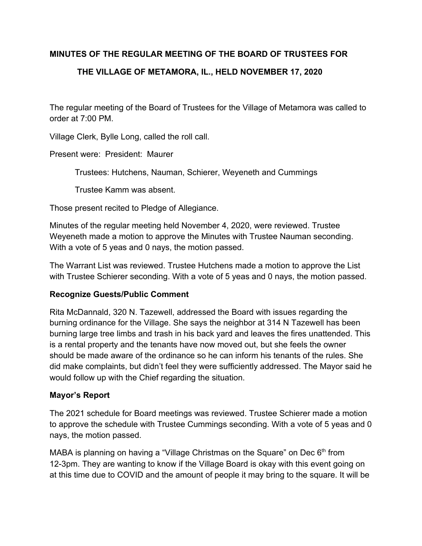## **MINUTES OF THE REGULAR MEETING OF THE BOARD OF TRUSTEES FOR**

## **THE VILLAGE OF METAMORA, IL., HELD NOVEMBER 17, 2020**

The regular meeting of the Board of Trustees for the Village of Metamora was called to order at 7:00 PM.

Village Clerk, Bylle Long, called the roll call.

Present were: President: Maurer

Trustees: Hutchens, Nauman, Schierer, Weyeneth and Cummings

Trustee Kamm was absent.

Those present recited to Pledge of Allegiance.

Minutes of the regular meeting held November 4, 2020, were reviewed. Trustee Weyeneth made a motion to approve the Minutes with Trustee Nauman seconding. With a vote of 5 yeas and 0 nays, the motion passed.

The Warrant List was reviewed. Trustee Hutchens made a motion to approve the List with Trustee Schierer seconding. With a vote of 5 yeas and 0 nays, the motion passed.

### **Recognize Guests/Public Comment**

Rita McDannald, 320 N. Tazewell, addressed the Board with issues regarding the burning ordinance for the Village. She says the neighbor at 314 N Tazewell has been burning large tree limbs and trash in his back yard and leaves the fires unattended. This is a rental property and the tenants have now moved out, but she feels the owner should be made aware of the ordinance so he can inform his tenants of the rules. She did make complaints, but didn't feel they were sufficiently addressed. The Mayor said he would follow up with the Chief regarding the situation.

## **Mayor's Report**

The 2021 schedule for Board meetings was reviewed. Trustee Schierer made a motion to approve the schedule with Trustee Cummings seconding. With a vote of 5 yeas and 0 nays, the motion passed.

MABA is planning on having a "Village Christmas on the Square" on Dec  $6<sup>th</sup>$  from 12-3pm. They are wanting to know if the Village Board is okay with this event going on at this time due to COVID and the amount of people it may bring to the square. It will be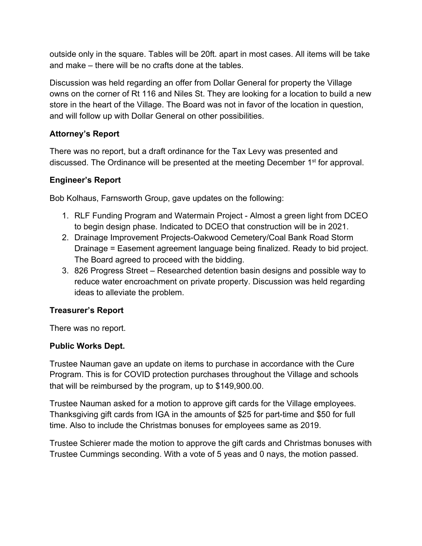outside only in the square. Tables will be 20ft. apart in most cases. All items will be take and make – there will be no crafts done at the tables.

Discussion was held regarding an offer from Dollar General for property the Village owns on the corner of Rt 116 and Niles St. They are looking for a location to build a new store in the heart of the Village. The Board was not in favor of the location in question, and will follow up with Dollar General on other possibilities.

# **Attorney's Report**

There was no report, but a draft ordinance for the Tax Levy was presented and discussed. The Ordinance will be presented at the meeting December 1<sup>st</sup> for approval.

# **Engineer's Report**

Bob Kolhaus, Farnsworth Group, gave updates on the following:

- 1. RLF Funding Program and Watermain Project Almost a green light from DCEO to begin design phase. Indicated to DCEO that construction will be in 2021.
- 2. Drainage Improvement Projects-Oakwood Cemetery/Coal Bank Road Storm Drainage = Easement agreement language being finalized. Ready to bid project. The Board agreed to proceed with the bidding.
- 3. 826 Progress Street Researched detention basin designs and possible way to reduce water encroachment on private property. Discussion was held regarding ideas to alleviate the problem.

# **Treasurer's Report**

There was no report.

# **Public Works Dept.**

Trustee Nauman gave an update on items to purchase in accordance with the Cure Program. This is for COVID protection purchases throughout the Village and schools that will be reimbursed by the program, up to \$149,900.00.

Trustee Nauman asked for a motion to approve gift cards for the Village employees. Thanksgiving gift cards from IGA in the amounts of \$25 for part-time and \$50 for full time. Also to include the Christmas bonuses for employees same as 2019.

Trustee Schierer made the motion to approve the gift cards and Christmas bonuses with Trustee Cummings seconding. With a vote of 5 yeas and 0 nays, the motion passed.